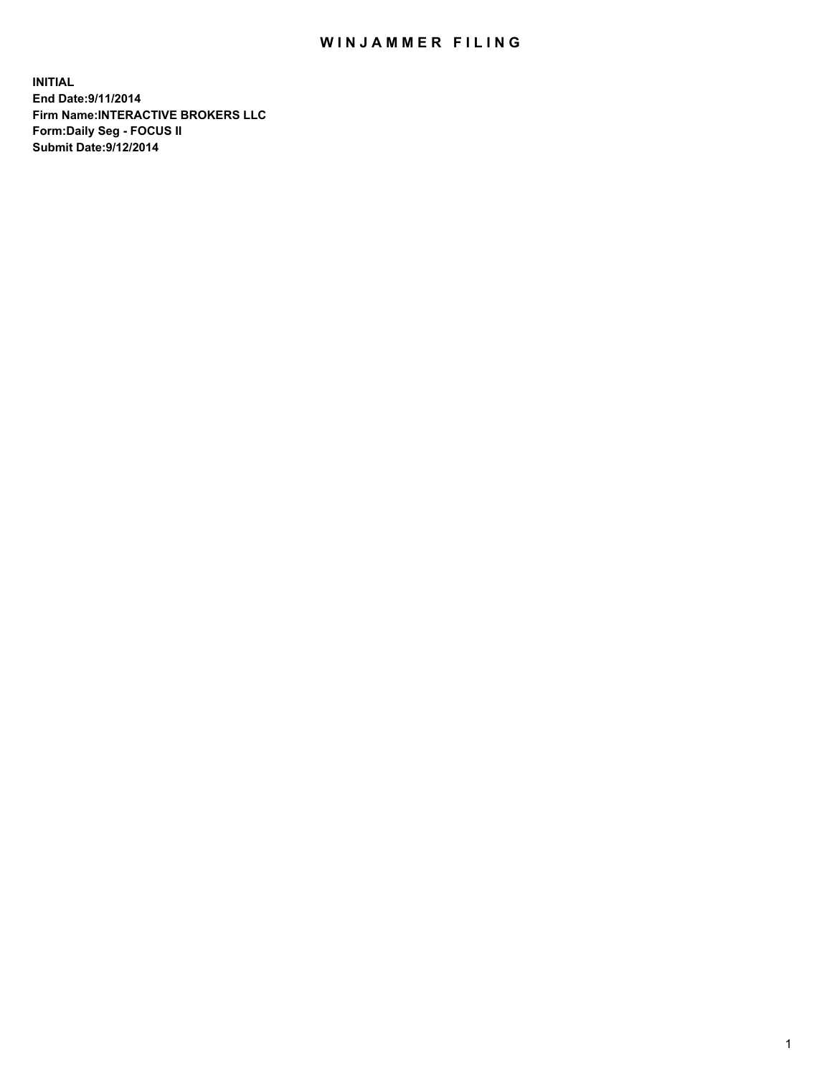## WIN JAMMER FILING

**INITIAL End Date:9/11/2014 Firm Name:INTERACTIVE BROKERS LLC Form:Daily Seg - FOCUS II Submit Date:9/12/2014**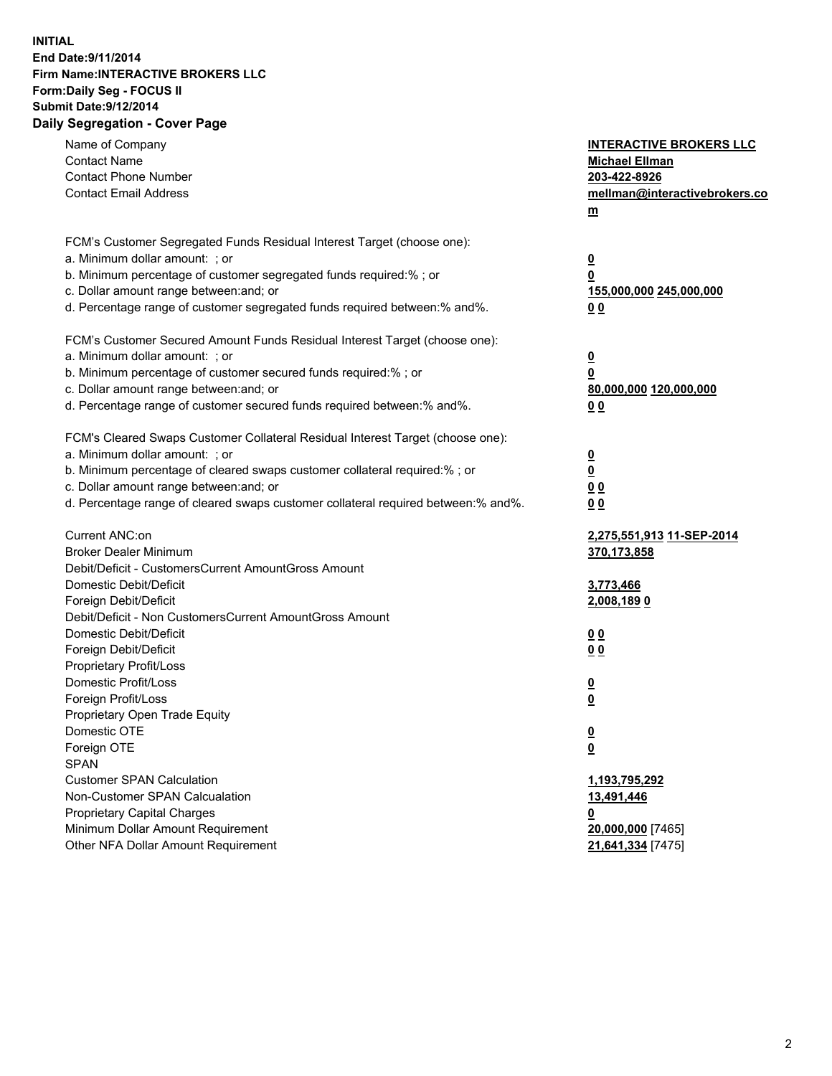## **INITIAL End Date:9/11/2014 Firm Name:INTERACTIVE BROKERS LLC Form:Daily Seg - FOCUS II Submit Date:9/12/2014 Daily Segregation - Cover Page**

| Name of Company                                                                   | <b>INTERACTIVE BROKERS LLC</b>                     |
|-----------------------------------------------------------------------------------|----------------------------------------------------|
| <b>Contact Name</b>                                                               | <b>Michael Ellman</b>                              |
| <b>Contact Phone Number</b>                                                       | 203-422-8926                                       |
| <b>Contact Email Address</b>                                                      | mellman@interactivebrokers.co                      |
|                                                                                   | $\underline{\mathbf{m}}$                           |
| FCM's Customer Segregated Funds Residual Interest Target (choose one):            |                                                    |
| a. Minimum dollar amount: ; or                                                    | <u>0</u>                                           |
| b. Minimum percentage of customer segregated funds required:% ; or                | 0                                                  |
| c. Dollar amount range between: and; or                                           | <u>155,000,000 245,000,000</u>                     |
| d. Percentage range of customer segregated funds required between:% and%.         | 00                                                 |
|                                                                                   |                                                    |
| FCM's Customer Secured Amount Funds Residual Interest Target (choose one):        |                                                    |
| a. Minimum dollar amount: ; or                                                    | <u>0</u>                                           |
| b. Minimum percentage of customer secured funds required:% ; or                   | 0                                                  |
| c. Dollar amount range between: and; or                                           | 80,000,000 120,000,000                             |
| d. Percentage range of customer secured funds required between:% and%.            | 0 <sub>0</sub>                                     |
| FCM's Cleared Swaps Customer Collateral Residual Interest Target (choose one):    |                                                    |
| a. Minimum dollar amount: ; or                                                    |                                                    |
| b. Minimum percentage of cleared swaps customer collateral required:% ; or        | $\overline{\mathbf{0}}$<br>$\overline{\mathbf{0}}$ |
| c. Dollar amount range between: and; or                                           | 0 <sub>0</sub>                                     |
| d. Percentage range of cleared swaps customer collateral required between:% and%. | 0 <sub>0</sub>                                     |
|                                                                                   |                                                    |
| Current ANC:on                                                                    | 2,275,551,913 11-SEP-2014                          |
| <b>Broker Dealer Minimum</b>                                                      | 370,173,858                                        |
| Debit/Deficit - CustomersCurrent AmountGross Amount                               |                                                    |
| Domestic Debit/Deficit                                                            | 3,773,466                                          |
| Foreign Debit/Deficit                                                             | <u>2,008,1890</u>                                  |
| Debit/Deficit - Non CustomersCurrent AmountGross Amount                           |                                                    |
| Domestic Debit/Deficit                                                            | 0 <sub>0</sub>                                     |
| Foreign Debit/Deficit                                                             | 0 <sub>0</sub>                                     |
| Proprietary Profit/Loss                                                           |                                                    |
| Domestic Profit/Loss                                                              | <u>0</u>                                           |
| Foreign Profit/Loss                                                               | $\underline{\mathbf{0}}$                           |
| Proprietary Open Trade Equity                                                     |                                                    |
| Domestic OTE                                                                      | <u>0</u>                                           |
| Foreign OTE                                                                       | <u>0</u>                                           |
| <b>SPAN</b>                                                                       |                                                    |
| <b>Customer SPAN Calculation</b>                                                  | 1,193,795,292                                      |
| Non-Customer SPAN Calcualation                                                    | 13,491,446                                         |
| <b>Proprietary Capital Charges</b>                                                | <u>0</u>                                           |
| Minimum Dollar Amount Requirement                                                 | 20,000,000 [7465]                                  |
| Other NFA Dollar Amount Requirement                                               | 21,641,334 [7475]                                  |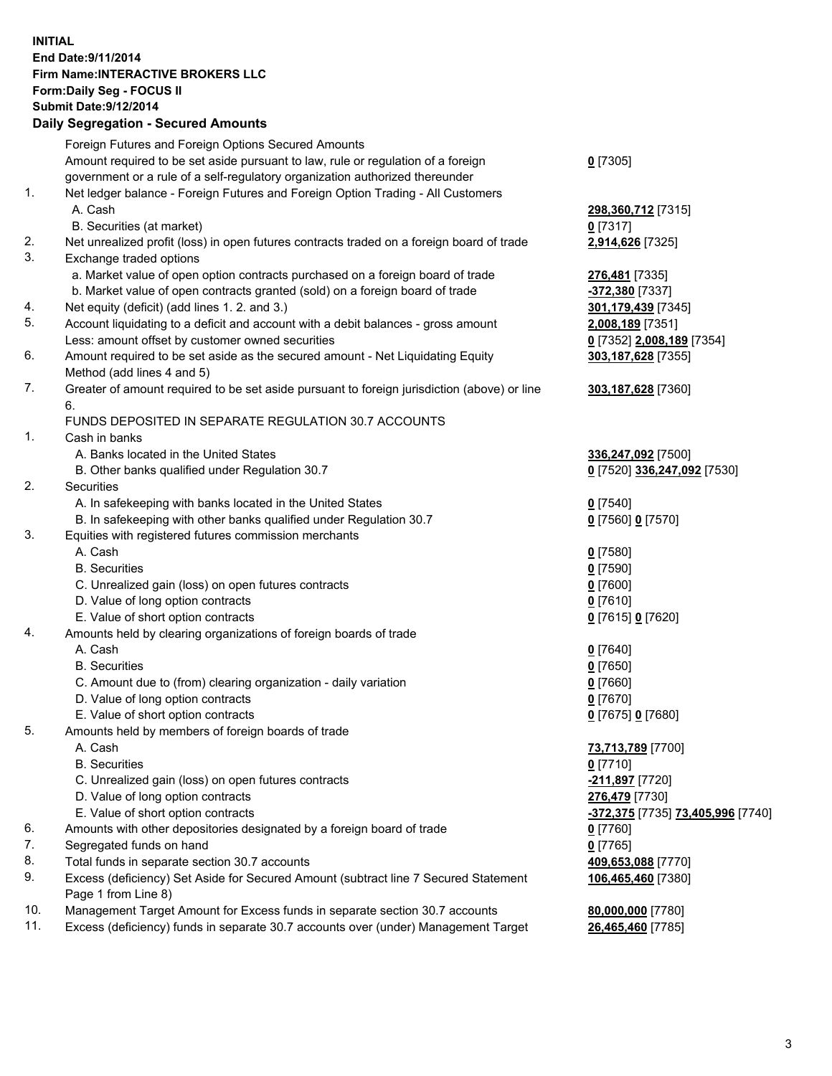## **INITIAL End Date:9/11/2014 Firm Name:INTERACTIVE BROKERS LLC Form:Daily Seg - FOCUS II Submit Date:9/12/2014 Daily Segregation - Secured Amounts**

|                | Daily Jegregation - Jeculed Aniounts                                                                       |                                   |
|----------------|------------------------------------------------------------------------------------------------------------|-----------------------------------|
|                | Foreign Futures and Foreign Options Secured Amounts                                                        |                                   |
|                | Amount required to be set aside pursuant to law, rule or regulation of a foreign                           | $0$ [7305]                        |
|                | government or a rule of a self-regulatory organization authorized thereunder                               |                                   |
| 1.             | Net ledger balance - Foreign Futures and Foreign Option Trading - All Customers                            |                                   |
|                | A. Cash                                                                                                    | 298,360,712 [7315]                |
|                | B. Securities (at market)                                                                                  | 0 [7317]                          |
| 2.             | Net unrealized profit (loss) in open futures contracts traded on a foreign board of trade                  | 2,914,626 [7325]                  |
| 3.             | Exchange traded options                                                                                    |                                   |
|                | a. Market value of open option contracts purchased on a foreign board of trade                             | 276,481 [7335]                    |
|                | b. Market value of open contracts granted (sold) on a foreign board of trade                               | -372,380 [7337]                   |
| 4.             | Net equity (deficit) (add lines 1. 2. and 3.)                                                              | 301,179,439 [7345]                |
| 5.             | Account liquidating to a deficit and account with a debit balances - gross amount                          | 2,008,189 [7351]                  |
|                | Less: amount offset by customer owned securities                                                           | 0 [7352] 2,008,189 [7354]         |
| 6.             | Amount required to be set aside as the secured amount - Net Liquidating Equity                             | 303,187,628 [7355]                |
|                | Method (add lines 4 and 5)                                                                                 |                                   |
| 7.             | Greater of amount required to be set aside pursuant to foreign jurisdiction (above) or line                | 303,187,628 [7360]                |
|                | 6.                                                                                                         |                                   |
|                | FUNDS DEPOSITED IN SEPARATE REGULATION 30.7 ACCOUNTS                                                       |                                   |
| $\mathbf{1}$ . | Cash in banks                                                                                              |                                   |
|                | A. Banks located in the United States                                                                      | 336,247,092 [7500]                |
|                | B. Other banks qualified under Regulation 30.7                                                             | 0 [7520] 336,247,092 [7530]       |
| 2.             | Securities                                                                                                 |                                   |
|                | A. In safekeeping with banks located in the United States                                                  | $0$ [7540]                        |
|                | B. In safekeeping with other banks qualified under Regulation 30.7                                         | 0 [7560] 0 [7570]                 |
| 3.             | Equities with registered futures commission merchants                                                      |                                   |
|                | A. Cash                                                                                                    | $0$ [7580]                        |
|                | <b>B.</b> Securities                                                                                       | $0$ [7590]                        |
|                | C. Unrealized gain (loss) on open futures contracts                                                        | $0$ [7600]                        |
|                | D. Value of long option contracts                                                                          | $0$ [7610]                        |
|                | E. Value of short option contracts                                                                         | 0 [7615] 0 [7620]                 |
| 4.             | Amounts held by clearing organizations of foreign boards of trade                                          |                                   |
|                | A. Cash                                                                                                    | $0$ [7640]                        |
|                | <b>B.</b> Securities                                                                                       | $0$ [7650]                        |
|                | C. Amount due to (from) clearing organization - daily variation                                            | $0$ [7660]                        |
|                | D. Value of long option contracts                                                                          | $0$ [7670]                        |
|                | E. Value of short option contracts                                                                         | 0 [7675] 0 [7680]                 |
| 5.             | Amounts held by members of foreign boards of trade                                                         |                                   |
|                | A. Cash                                                                                                    | 73,713,789 [7700]                 |
|                | <b>B.</b> Securities                                                                                       | $0$ [7710]                        |
|                | C. Unrealized gain (loss) on open futures contracts                                                        | -211,897 [7720]                   |
|                | D. Value of long option contracts                                                                          | 276,479 [7730]                    |
|                | E. Value of short option contracts                                                                         | -372,375 [7735] 73,405,996 [7740] |
| 6.             | Amounts with other depositories designated by a foreign board of trade                                     | $0$ [7760]                        |
| 7.             | Segregated funds on hand                                                                                   | $0$ [7765]                        |
| 8.             | Total funds in separate section 30.7 accounts                                                              | 409,653,088 [7770]                |
| 9.             | Excess (deficiency) Set Aside for Secured Amount (subtract line 7 Secured Statement<br>Page 1 from Line 8) | 106,465,460 [7380]                |
| 10.            | Management Target Amount for Excess funds in separate section 30.7 accounts                                | 80,000,000 [7780]                 |
| 11.            | Excess (deficiency) funds in separate 30.7 accounts over (under) Management Target                         | 26,465,460 [7785]                 |
|                |                                                                                                            |                                   |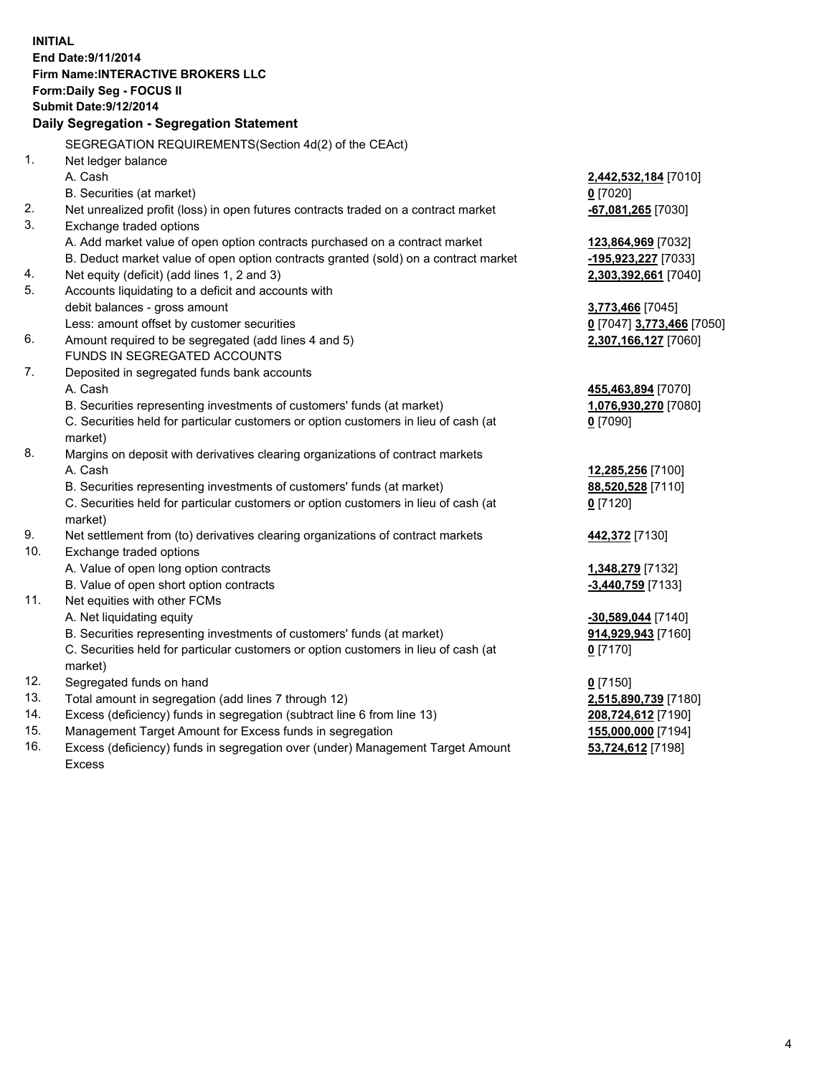**INITIAL End Date:9/11/2014 Firm Name:INTERACTIVE BROKERS LLC Form:Daily Seg - FOCUS II Submit Date:9/12/2014 Daily Segregation - Segregation Statement** SEGREGATION REQUIREMENTS(Section 4d(2) of the CEAct) 1. Net ledger balance A. Cash **2,442,532,184** [7010] B. Securities (at market) **0** [7020] 2. Net unrealized profit (loss) in open futures contracts traded on a contract market **-67,081,265** [7030] 3. Exchange traded options A. Add market value of open option contracts purchased on a contract market **123,864,969** [7032] B. Deduct market value of open option contracts granted (sold) on a contract market **-195,923,227** [7033] 4. Net equity (deficit) (add lines 1, 2 and 3) **2,303,392,661** [7040] 5. Accounts liquidating to a deficit and accounts with debit balances - gross amount **3,773,466** [7045] Less: amount offset by customer securities **0** [7047] **3,773,466** [7050] 6. Amount required to be segregated (add lines 4 and 5) **2,307,166,127** [7060] FUNDS IN SEGREGATED ACCOUNTS 7. Deposited in segregated funds bank accounts A. Cash **455,463,894** [7070] B. Securities representing investments of customers' funds (at market) **1,076,930,270** [7080] C. Securities held for particular customers or option customers in lieu of cash (at market) **0** [7090] 8. Margins on deposit with derivatives clearing organizations of contract markets A. Cash **12,285,256** [7100] B. Securities representing investments of customers' funds (at market) **88,520,528** [7110] C. Securities held for particular customers or option customers in lieu of cash (at market) **0** [7120] 9. Net settlement from (to) derivatives clearing organizations of contract markets **442,372** [7130] 10. Exchange traded options A. Value of open long option contracts **1,348,279** [7132] B. Value of open short option contracts **-3,440,759** [7133] 11. Net equities with other FCMs A. Net liquidating equity **-30,589,044** [7140] B. Securities representing investments of customers' funds (at market) **914,929,943** [7160] C. Securities held for particular customers or option customers in lieu of cash (at market) **0** [7170] 12. Segregated funds on hand **0** [7150] 13. Total amount in segregation (add lines 7 through 12) **2,515,890,739** [7180] 14. Excess (deficiency) funds in segregation (subtract line 6 from line 13) **208,724,612** [7190] 15. Management Target Amount for Excess funds in segregation **155,000,000** [7194]

16. Excess (deficiency) funds in segregation over (under) Management Target Amount Excess

**53,724,612** [7198]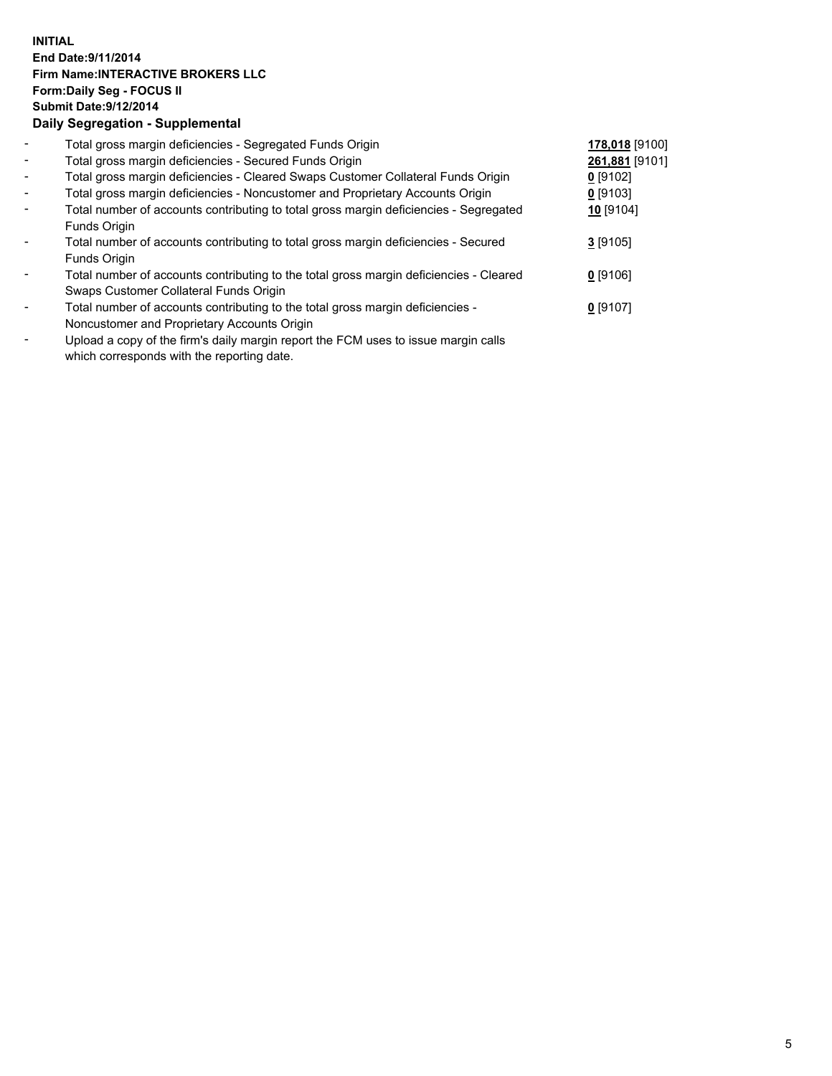## **INITIAL End Date:9/11/2014 Firm Name:INTERACTIVE BROKERS LLC Form:Daily Seg - FOCUS II Submit Date:9/12/2014 Daily Segregation - Supplemental**

| $\blacksquare$           | Total gross margin deficiencies - Segregated Funds Origin                              | 178,018 [9100] |  |
|--------------------------|----------------------------------------------------------------------------------------|----------------|--|
| $\blacksquare$           | Total gross margin deficiencies - Secured Funds Origin                                 | 261,881 [9101] |  |
| $\blacksquare$           | Total gross margin deficiencies - Cleared Swaps Customer Collateral Funds Origin       | $0$ [9102]     |  |
| $\blacksquare$           | Total gross margin deficiencies - Noncustomer and Proprietary Accounts Origin          | $0$ [9103]     |  |
| $\blacksquare$           | Total number of accounts contributing to total gross margin deficiencies - Segregated  | 10 [9104]      |  |
|                          | Funds Origin                                                                           |                |  |
| $\overline{\phantom{a}}$ | Total number of accounts contributing to total gross margin deficiencies - Secured     | $3$ [9105]     |  |
|                          | Funds Origin                                                                           |                |  |
|                          | Total number of accounts contributing to the total gross margin deficiencies - Cleared | $0$ [9106]     |  |
|                          | Swaps Customer Collateral Funds Origin                                                 |                |  |
|                          | Total number of accounts contributing to the total gross margin deficiencies -         | $0$ [9107]     |  |
|                          | Noncustomer and Proprietary Accounts Origin                                            |                |  |
|                          |                                                                                        |                |  |

- Upload a copy of the firm's daily margin report the FCM uses to issue margin calls which corresponds with the reporting date.